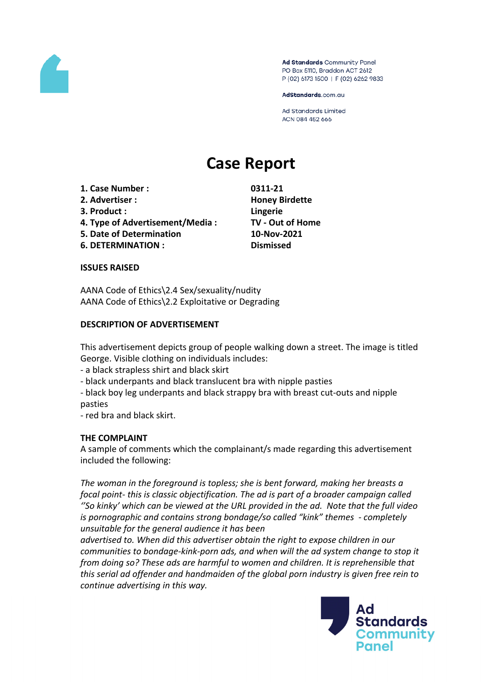

Ad Standards Community Panel PO Box 5110, Braddon ACT 2612 P (02) 6173 1500 | F (02) 6262 9833

AdStandards.com.au

**Ad Standards Limited** ACN 084 452 666

# **Case Report**

- **1. Case Number : 0311-21**
- **2. Advertiser : Honey Birdette**
- **3. Product : Lingerie**
- **4. Type of Advertisement/Media : TV - Out of Home**
- **5. Date of Determination 10-Nov-2021**
- **6. DETERMINATION : Dismissed**

## **ISSUES RAISED**

AANA Code of Ethics\2.4 Sex/sexuality/nudity AANA Code of Ethics\2.2 Exploitative or Degrading

## **DESCRIPTION OF ADVERTISEMENT**

This advertisement depicts group of people walking down a street. The image is titled George. Visible clothing on individuals includes:

- a black strapless shirt and black skirt
- black underpants and black translucent bra with nipple pasties
- black boy leg underpants and black strappy bra with breast cut-outs and nipple pasties
- red bra and black skirt.

# **THE COMPLAINT**

A sample of comments which the complainant/s made regarding this advertisement included the following:

*The woman in the foreground is topless; she is bent forward, making her breasts a focal point- this is classic objectification. The ad is part of a broader campaign called ''So kinky' which can be viewed at the URL provided in the ad. Note that the full video is pornographic and contains strong bondage/so called "kink" themes - completely unsuitable for the general audience it has been*

*advertised to. When did this advertiser obtain the right to expose children in our communities to bondage-kink-porn ads, and when will the ad system change to stop it from doing so? These ads are harmful to women and children. It is reprehensible that this serial ad offender and handmaiden of the global porn industry is given free rein to continue advertising in this way.*

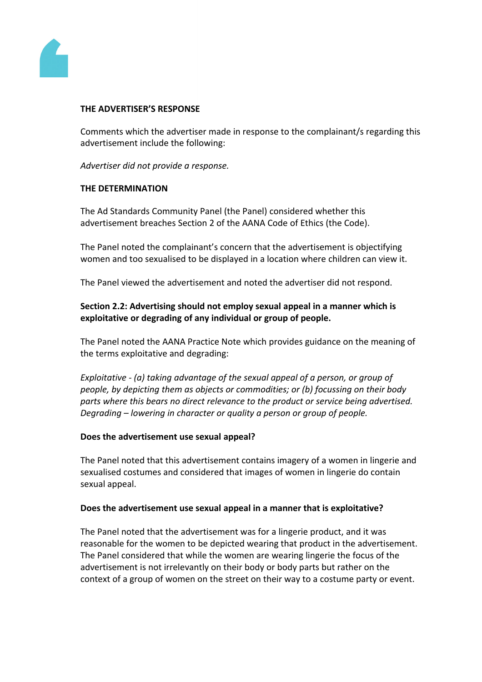

## **THE ADVERTISER'S RESPONSE**

Comments which the advertiser made in response to the complainant/s regarding this advertisement include the following:

*Advertiser did not provide a response.*

## **THE DETERMINATION**

The Ad Standards Community Panel (the Panel) considered whether this advertisement breaches Section 2 of the AANA Code of Ethics (the Code).

The Panel noted the complainant's concern that the advertisement is objectifying women and too sexualised to be displayed in a location where children can view it.

The Panel viewed the advertisement and noted the advertiser did not respond.

# **Section 2.2: Advertising should not employ sexual appeal in a manner which is exploitative or degrading of any individual or group of people.**

The Panel noted the AANA Practice Note which provides guidance on the meaning of the terms exploitative and degrading:

*Exploitative - (a) taking advantage of the sexual appeal of a person, or group of people, by depicting them as objects or commodities; or (b) focussing on their body parts where this bears no direct relevance to the product or service being advertised. Degrading – lowering in character or quality a person or group of people.*

## **Does the advertisement use sexual appeal?**

The Panel noted that this advertisement contains imagery of a women in lingerie and sexualised costumes and considered that images of women in lingerie do contain sexual appeal.

## **Does the advertisement use sexual appeal in a manner that is exploitative?**

The Panel noted that the advertisement was for a lingerie product, and it was reasonable for the women to be depicted wearing that product in the advertisement. The Panel considered that while the women are wearing lingerie the focus of the advertisement is not irrelevantly on their body or body parts but rather on the context of a group of women on the street on their way to a costume party or event.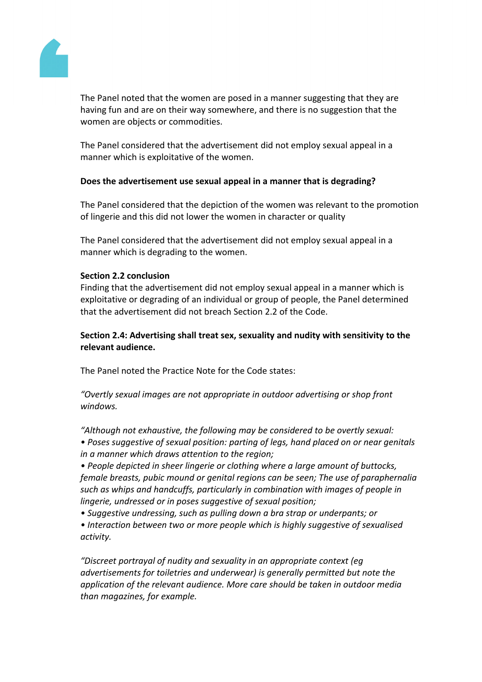

The Panel noted that the women are posed in a manner suggesting that they are having fun and are on their way somewhere, and there is no suggestion that the women are objects or commodities.

The Panel considered that the advertisement did not employ sexual appeal in a manner which is exploitative of the women.

## **Does the advertisement use sexual appeal in a manner that is degrading?**

The Panel considered that the depiction of the women was relevant to the promotion of lingerie and this did not lower the women in character or quality

The Panel considered that the advertisement did not employ sexual appeal in a manner which is degrading to the women.

## **Section 2.2 conclusion**

Finding that the advertisement did not employ sexual appeal in a manner which is exploitative or degrading of an individual or group of people, the Panel determined that the advertisement did not breach Section 2.2 of the Code.

**Section 2.4: Advertising shall treat sex, sexuality and nudity with sensitivity to the relevant audience.**

The Panel noted the Practice Note for the Code states:

*"Overtly sexual images are not appropriate in outdoor advertising or shop front windows.*

*"Although not exhaustive, the following may be considered to be overtly sexual: • Poses suggestive of sexual position: parting of legs, hand placed on or near genitals in a manner which draws attention to the region;*

*• People depicted in sheer lingerie or clothing where a large amount of buttocks, female breasts, pubic mound or genital regions can be seen; The use of paraphernalia such as whips and handcuffs, particularly in combination with images of people in lingerie, undressed or in poses suggestive of sexual position;*

*• Suggestive undressing, such as pulling down a bra strap or underpants; or*

*• Interaction between two or more people which is highly suggestive of sexualised activity.*

*"Discreet portrayal of nudity and sexuality in an appropriate context (eg advertisements for toiletries and underwear) is generally permitted but note the application of the relevant audience. More care should be taken in outdoor media than magazines, for example.*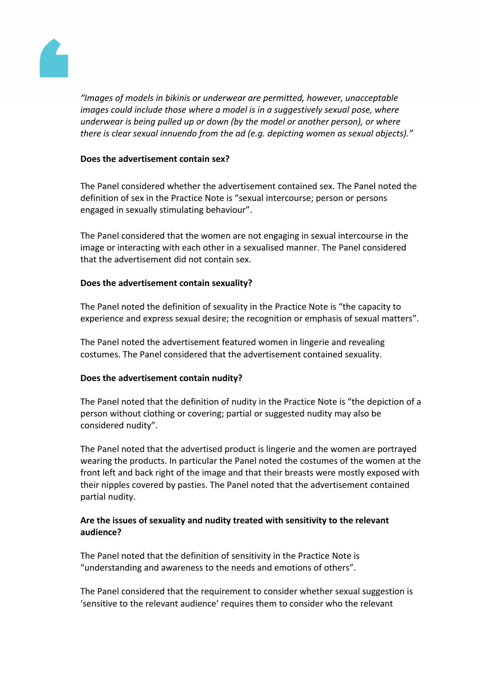

*"Images of models in bikinis or underwear are permitted, however, unacceptable images could include those where a model is in a suggestively sexual pose, where underwear is being pulled up or down (by the model or another person), or where there is clear sexual innuendo from the ad (e.g. depicting women as sexual objects)."*

## **Does the advertisement contain sex?**

The Panel considered whether the advertisement contained sex. The Panel noted the definition of sex in the Practice Note is "sexual intercourse; person or persons engaged in sexually stimulating behaviour".

The Panel considered that the women are not engaging in sexual intercourse in the image or interacting with each other in a sexualised manner. The Panel considered that the advertisement did not contain sex.

## **Does the advertisement contain sexuality?**

The Panel noted the definition of sexuality in the Practice Note is "the capacity to experience and express sexual desire; the recognition or emphasis of sexual matters".

The Panel noted the advertisement featured women in lingerie and revealing costumes. The Panel considered that the advertisement contained sexuality.

# **Does the advertisement contain nudity?**

The Panel noted that the definition of nudity in the Practice Note is "the depiction of a person without clothing or covering; partial or suggested nudity may also be considered nudity".

The Panel noted that the advertised product is lingerie and the women are portrayed wearing the products. In particular the Panel noted the costumes of the women at the front left and back right of the image and that their breasts were mostly exposed with their nipples covered by pasties. The Panel noted that the advertisement contained partial nudity.

# **Are the issues of sexuality and nudity treated with sensitivity to the relevant audience?**

The Panel noted that the definition of sensitivity in the Practice Note is "understanding and awareness to the needs and emotions of others".

The Panel considered that the requirement to consider whether sexual suggestion is 'sensitive to the relevant audience' requires them to consider who the relevant